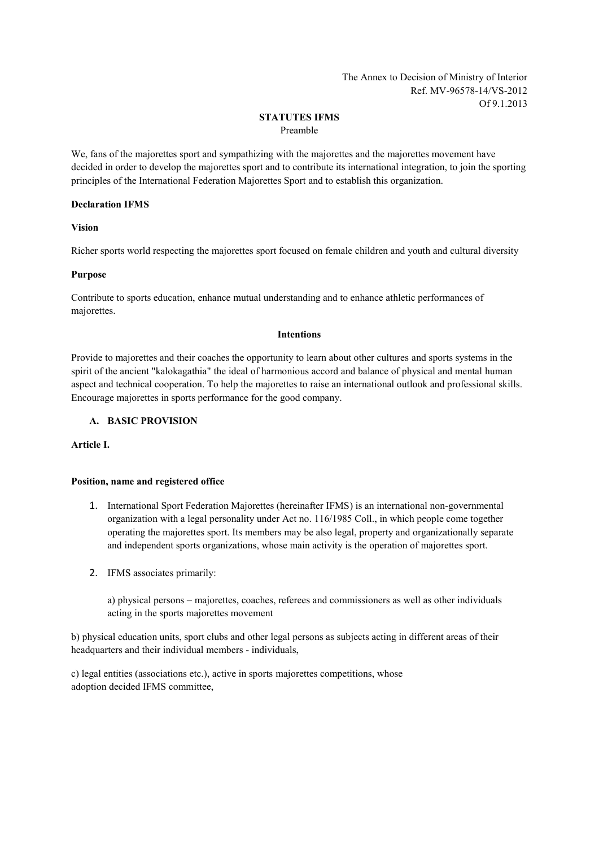The Annex to Decision of Ministry of Interior Ref. MV-96578-14/VS-2012 Of 9.1.2013

# **STATUTES IFMS**

Preamble

We, fans of the majorettes sport and sympathizing with the majorettes and the majorettes movement have decided in order to develop the majorettes sport and to contribute its international integration, to join the sporting principles of the International Federation Majorettes Sport and to establish this organization.

### **Declaration IFMS**

**Vision**

Richer sports world respecting the majorettes sport focused on female children and youth and cultural diversity

## **Purpose**

Contribute to sports education, enhance mutual understanding and to enhance athletic performances of majorettes.

### **Intentions**

Provide to majorettes and their coaches the opportunity to learn about other cultures and sports systems in the spirit of the ancient "kalokagathia" the ideal of harmonious accord and balance of physical and mental human aspect and technical cooperation. To help the majorettes to raise an international outlook and professional skills. Encourage majorettes in sports performance for the good company.

## **A. BASIC PROVISION**

**Article I.**

## **Position, name and registered office**

- 1. International Sport Federation Majorettes (hereinafter IFMS) is an international non-governmental organization with a legal personality under Act no. 116/1985 Coll., in which people come together operating the majorettes sport. Its members may be also legal, property and organizationally separate and independent sports organizations, whose main activity is the operation of majorettes sport.
- 2. IFMS associates primarily:

a) physical persons – majorettes, coaches, referees and commissioners as well as other individuals acting in the sports majorettes movement

b) physical education units, sport clubs and other legal persons as subjects acting in different areas of their headquarters and their individual members - individuals,

c) legal entities (associations etc.), active in sports majorettes competitions, whose adoption decided IFMS committee,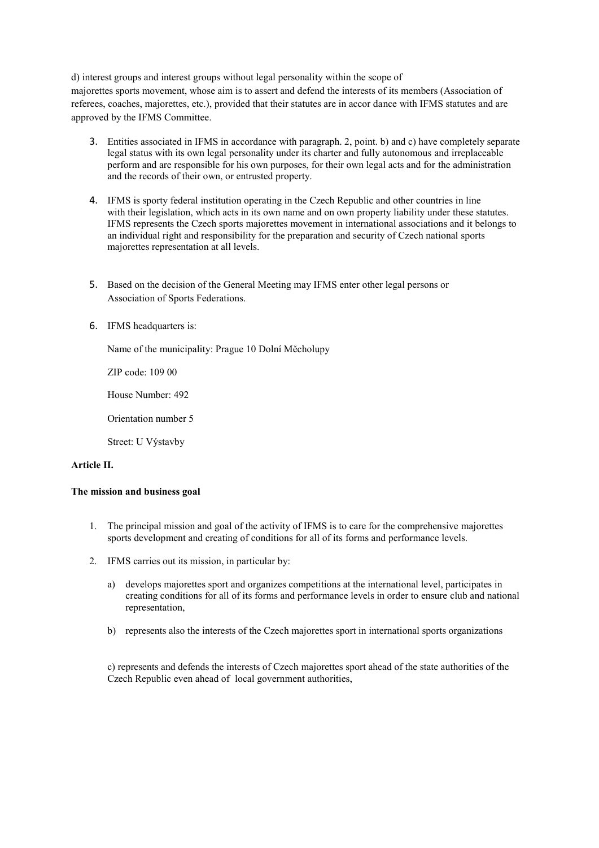d) interest groups and interest groups without legal personality within the scope of majorettes sports movement, whose aim is to assert and defend the interests of its members (Association of referees, coaches, majorettes, etc.), provided that their statutes are in accor dance with IFMS statutes and are approved by the IFMS Committee.

- 3. Entities associated in IFMS in accordance with paragraph. 2, point. b) and c) have completely separate legal status with its own legal personality under its charter and fully autonomous and irreplaceable perform and are responsible for his own purposes, for their own legal acts and for the administration and the records of their own, or entrusted property.
- 4. IFMS is sporty federal institution operating in the Czech Republic and other countries in line with their legislation, which acts in its own name and on own property liability under these statutes. IFMS represents the Czech sports majorettes movement in international associations and it belongs to an individual right and responsibility for the preparation and security of Czech national sports majorettes representation at all levels.
- 5. Based on the decision of the General Meeting may IFMS enter other legal persons or Association of Sports Federations.
- 6. IFMS headquarters is:

Name of the municipality: Prague 10 Dolní Měcholupy

ZIP code: 109 00

House Number: 492

Orientation number 5

Street: U Výstavby

### **Article II.**

### **The mission and business goal**

- 1. The principal mission and goal of the activity of IFMS is to care for the comprehensive majorettes sports development and creating of conditions for all of its forms and performance levels.
- 2. IFMS carries out its mission, in particular by:
	- a) develops majorettes sport and organizes competitions at the international level, participates in creating conditions for all of its forms and performance levels in order to ensure club and national representation,
	- b) represents also the interests of the Czech majorettes sport in international sports organizations

c) represents and defends the interests of Czech majorettes sport ahead of the state authorities of the Czech Republic even ahead of local government authorities,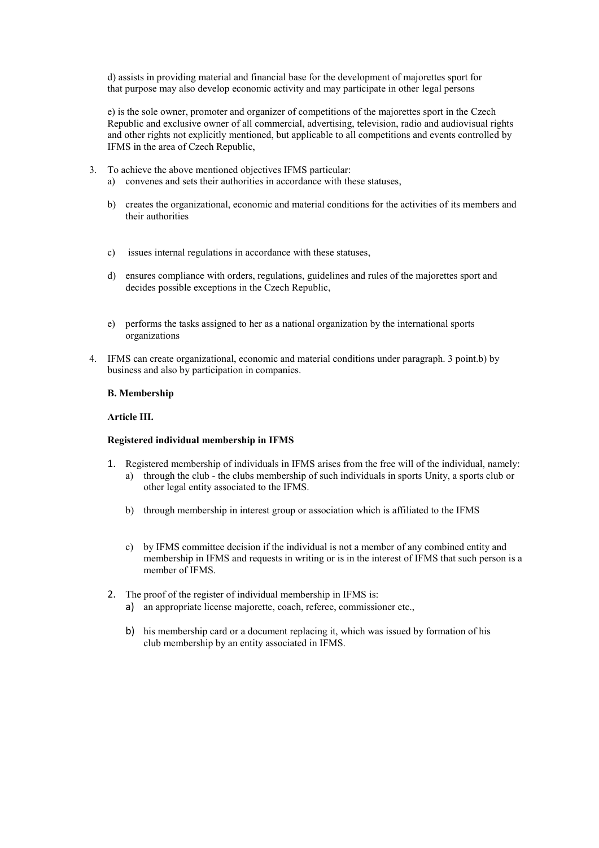d) assists in providing material and financial base for the development of majorettes sport for that purpose may also develop economic activity and may participate in other legal persons

e) is the sole owner, promoter and organizer of competitions of the majorettes sport in the Czech Republic and exclusive owner of all commercial, advertising, television, radio and audiovisual rights and other rights not explicitly mentioned, but applicable to all competitions and events controlled by IFMS in the area of Czech Republic,

- 3. To achieve the above mentioned objectives IFMS particular:
	- a) convenes and sets their authorities in accordance with these statuses,
	- b) creates the organizational, economic and material conditions for the activities of its members and their authorities
	- c) issues internal regulations in accordance with these statuses,
	- d) ensures compliance with orders, regulations, guidelines and rules of the majorettes sport and decides possible exceptions in the Czech Republic,
	- e) performs the tasks assigned to her as a national organization by the international sports organizations
- 4. IFMS can create organizational, economic and material conditions under paragraph. 3 point.b) by business and also by participation in companies.

#### **B. Membership**

#### **Article III.**

#### **Registered individual membership in IFMS**

- 1. Registered membership of individuals in IFMS arises from the free will of the individual, namely: a) through the club - the clubs membership of such individuals in sports Unity, a sports club or
	- other legal entity associated to the IFMS.
	- b) through membership in interest group or association which is affiliated to the IFMS
	- c) by IFMS committee decision if the individual is not a member of any combined entity and membership in IFMS and requests in writing or is in the interest of IFMS that such person is a member of IFMS.
- 2. The proof of the register of individual membership in IFMS is:
	- a) an appropriate license majorette, coach, referee, commissioner etc.,
	- b) his membership card or a document replacing it, which was issued by formation of his club membership by an entity associated in IFMS.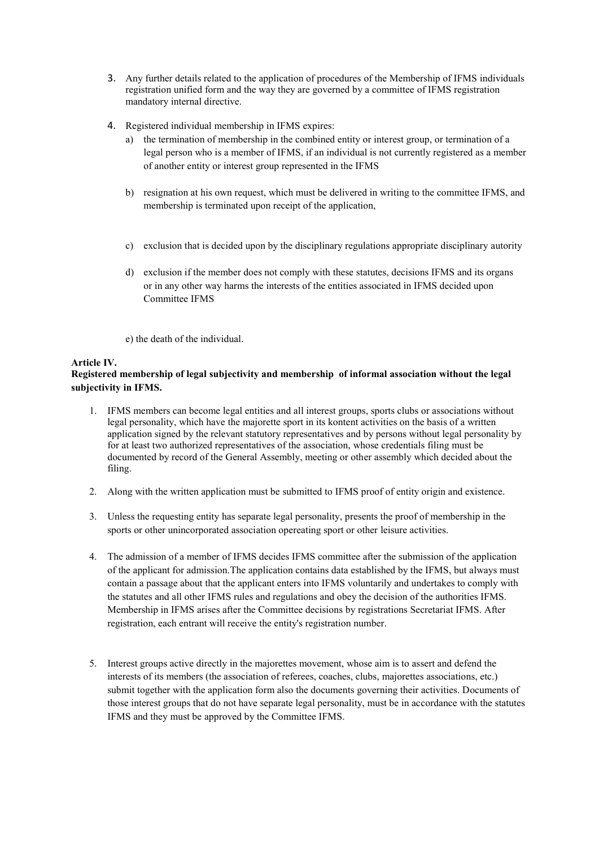- 3. Any further details related to the application of procedures of the Membership of IFMS individuals registration unified form and the way they are governed by a committee of IFMS registration mandatory internal directive.
- 4. Registered individual membership in IFMS expires:
	- a) the termination of membership in the combined entity or interest group, or termination of a legal person who is a member of IFMS, if an individual is not currently registered as a member of another entity or interest group represented in the IFMS
	- b) resignation at his own request, which must be delivered in writing to the committee IFMS, and membership is terminated upon receipt of the application,
	- c) exclusion that is decided upon by the disciplinary regulations appropriate disciplinary autority
	- d) exclusion if the member does not comply with these statutes, decisions IFMS and its organs or in any other way harms the interests of the entities associated in IFMS decided upon Committee IFMS
	- e) the death of the individual.

## **Article IV.**

# **Registered membership of legal subjectivity and membership of informal association without the legal subjectivity in IFMS.**

- 1. IFMS members can become legal entities and all interest groups, sports clubs or associations without legal personality, which have the majorette sport in its kontent activities on the basis of a written application signed by the relevant statutory representatives and by persons without legal personality by for at least two authorized representatives of the association, whose credentials filing must be documented by record of the General Assembly, meeting or other assembly which decided about the filing.
- 2. Along with the written application must be submitted to IFMS proof of entity origin and existence.
- 3. Unless the requesting entity has separate legal personality, presents the proof of membership in the sports or other unincorporated association opereating sport or other leisure activities.
- 4. The admission of a member of IFMS decides IFMS committee after the submission of the application of the applicant for admission.The application contains data established by the IFMS, but always must contain a passage about that the applicant enters into IFMS voluntarily and undertakes to comply with the statutes and all other IFMS rules and regulations and obey the decision of the authorities IFMS. Membership in IFMS arises after the Committee decisions by registrations Secretariat IFMS. After registration, each entrant will receive the entity's registration number.
- 5. Interest groups active directly in the majorettes movement, whose aim is to assert and defend the interests of its members (the association of referees, coaches, clubs, majorettes associations, etc.) submit together with the application form also the documents governing their activities. Documents of those interest groups that do not have separate legal personality, must be in accordance with the statutes IFMS and they must be approved by the Committee IFMS.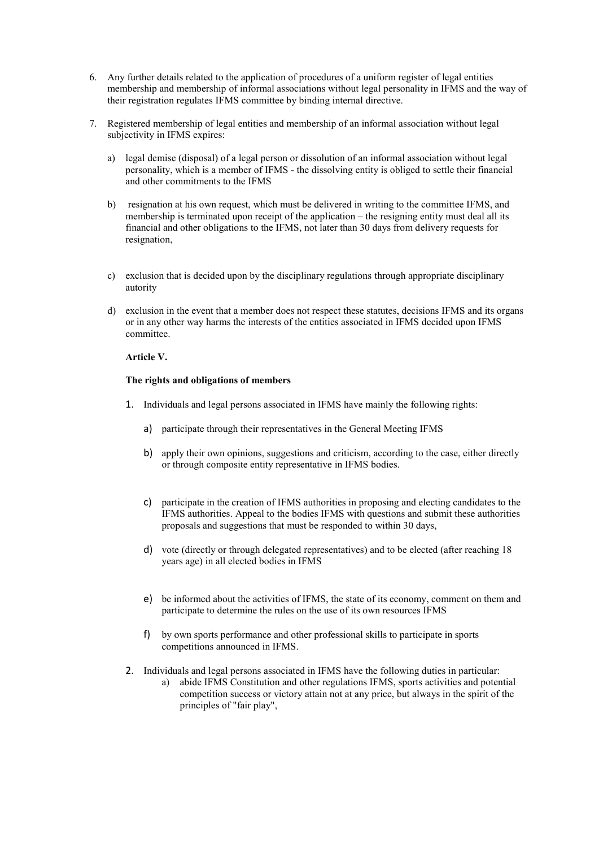- 6. Any further details related to the application of procedures of a uniform register of legal entities membership and membership of informal associations without legal personality in IFMS and the way of their registration regulates IFMS committee by binding internal directive.
- 7. Registered membership of legal entities and membership of an informal association without legal subjectivity in IFMS expires:
	- a) legal demise (disposal) of a legal person or dissolution of an informal association without legal personality, which is a member of IFMS - the dissolving entity is obliged to settle their financial and other commitments to the IFMS
	- b) resignation at his own request, which must be delivered in writing to the committee IFMS, and membership is terminated upon receipt of the application – the resigning entity must deal all its financial and other obligations to the IFMS, not later than 30 days from delivery requests for resignation,
	- c) exclusion that is decided upon by the disciplinary regulations through appropriate disciplinary autority
	- d) exclusion in the event that a member does not respect these statutes, decisions IFMS and its organs or in any other way harms the interests of the entities associated in IFMS decided upon IFMS committee.

### **Article V.**

### **The rights and obligations of members**

- 1. Individuals and legal persons associated in IFMS have mainly the following rights:
	- a) participate through their representatives in the General Meeting IFMS
	- b) apply their own opinions, suggestions and criticism, according to the case, either directly or through composite entity representative in IFMS bodies.
	- c) participate in the creation of IFMS authorities in proposing and electing candidates to the IFMS authorities. Appeal to the bodies IFMS with questions and submit these authorities proposals and suggestions that must be responded to within 30 days,
	- d) vote (directly or through delegated representatives) and to be elected (after reaching 18 years age) in all elected bodies in IFMS
	- e) be informed about the activities of IFMS, the state of its economy, comment on them and participate to determine the rules on the use of its own resources IFMS
	- f) by own sports performance and other professional skills to participate in sports competitions announced in IFMS.
- 2. Individuals and legal persons associated in IFMS have the following duties in particular:
	- a) abide IFMS Constitution and other regulations IFMS, sports activities and potential competition success or victory attain not at any price, but always in the spirit of the principles of "fair play",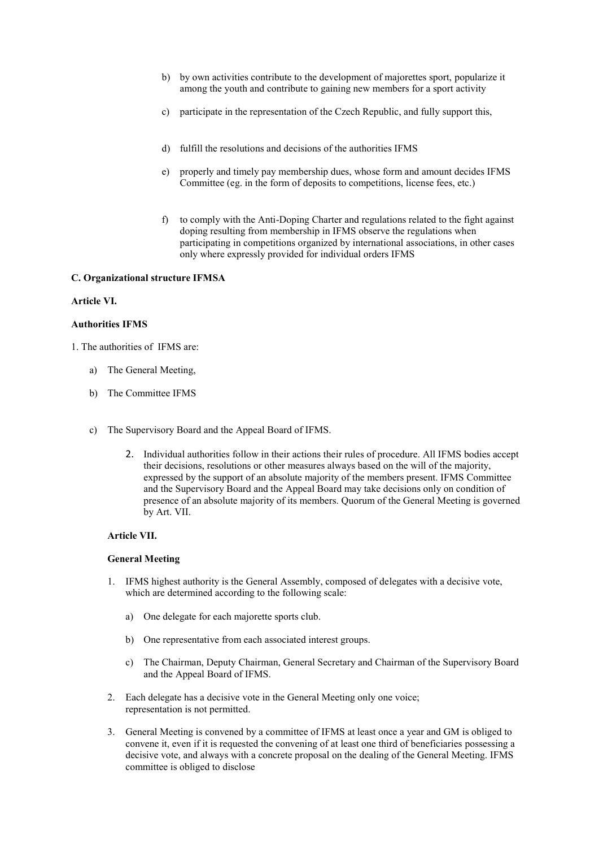- b) by own activities contribute to the development of majorettes sport, popularize it among the youth and contribute to gaining new members for a sport activity
- c) participate in the representation of the Czech Republic, and fully support this,
- d) fulfill the resolutions and decisions of the authorities IFMS
- e) properly and timely pay membership dues, whose form and amount decides IFMS Committee (eg. in the form of deposits to competitions, license fees, etc.)
- f) to comply with the Anti-Doping Charter and regulations related to the fight against doping resulting from membership in IFMS observe the regulations when participating in competitions organized by international associations, in other cases only where expressly provided for individual orders IFMS

### **C. Organizational structure IFMSA**

### **Article VI.**

### **Authorities IFMS**

1. The authorities of IFMS are:

- a) The General Meeting,
- b) The Committee IFMS
- c) The Supervisory Board and the Appeal Board of IFMS.
	- 2. Individual authorities follow in their actions their rules of procedure. All IFMS bodies accept their decisions, resolutions or other measures always based on the will of the majority, expressed by the support of an absolute majority of the members present. IFMS Committee and the Supervisory Board and the Appeal Board may take decisions only on condition of presence of an absolute majority of its members. Quorum of the General Meeting is governed by Art. VII.

## **Article VII.**

#### **General Meeting**

- 1. IFMS highest authority is the General Assembly, composed of delegates with a decisive vote, which are determined according to the following scale:
	- a) One delegate for each majorette sports club.
	- b) One representative from each associated interest groups.
	- c) The Chairman, Deputy Chairman, General Secretary and Chairman of the Supervisory Board and the Appeal Board of IFMS.
- 2. Each delegate has a decisive vote in the General Meeting only one voice; representation is not permitted.
- 3. General Meeting is convened by a committee of IFMS at least once a year and GM is obliged to convene it, even if it is requested the convening of at least one third of beneficiaries possessing a decisive vote, and always with a concrete proposal on the dealing of the General Meeting. IFMS committee is obliged to disclose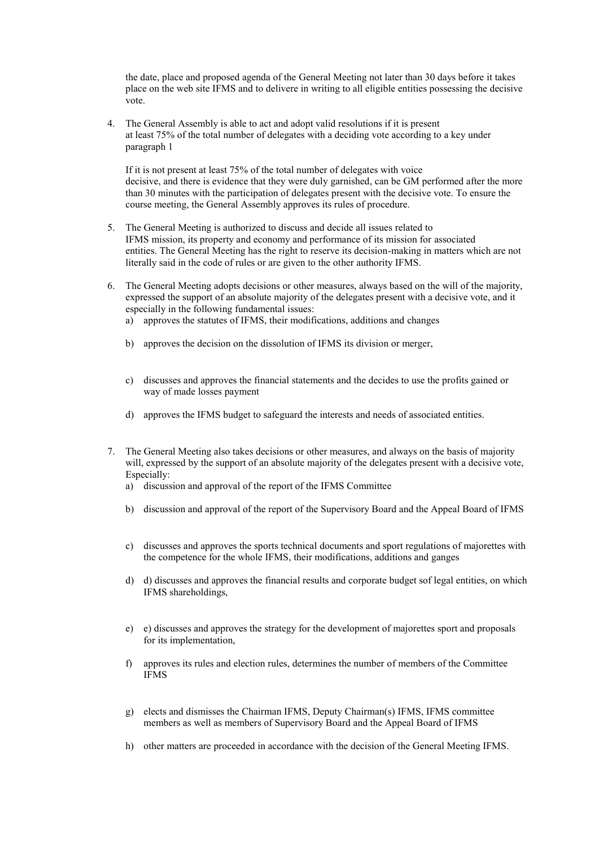the date, place and proposed agenda of the General Meeting not later than 30 days before it takes place on the web site IFMS and to delivere in writing to all eligible entities possessing the decisive vote.

4. The General Assembly is able to act and adopt valid resolutions if it is present at least 75% of the total number of delegates with a deciding vote according to a key under paragraph 1

If it is not present at least 75% of the total number of delegates with voice decisive, and there is evidence that they were duly garnished, can be GM performed after the more than 30 minutes with the participation of delegates present with the decisive vote. To ensure the course meeting, the General Assembly approves its rules of procedure.

- 5. The General Meeting is authorized to discuss and decide all issues related to IFMS mission, its property and economy and performance of its mission for associated entities. The General Meeting has the right to reserve its decision-making in matters which are not literally said in the code of rules or are given to the other authority IFMS.
- 6. The General Meeting adopts decisions or other measures, always based on the will of the majority, expressed the support of an absolute majority of the delegates present with a decisive vote, and it especially in the following fundamental issues:
	- a) approves the statutes of IFMS, their modifications, additions and changes
	- b) approves the decision on the dissolution of IFMS its division or merger,
	- c) discusses and approves the financial statements and the decides to use the profits gained or way of made losses payment
	- d) approves the IFMS budget to safeguard the interests and needs of associated entities.
- 7. The General Meeting also takes decisions or other measures, and always on the basis of majority will, expressed by the support of an absolute majority of the delegates present with a decisive vote, Especially:
	- a) discussion and approval of the report of the IFMS Committee
	- b) discussion and approval of the report of the Supervisory Board and the Appeal Board of IFMS
	- c) discusses and approves the sports technical documents and sport regulations of majorettes with the competence for the whole IFMS, their modifications, additions and ganges
	- d) d) discusses and approves the financial results and corporate budget sof legal entities, on which IFMS shareholdings,
	- e) e) discusses and approves the strategy for the development of majorettes sport and proposals for its implementation,
	- f) approves its rules and election rules, determines the number of members of the Committee IFMS
	- g) elects and dismisses the Chairman IFMS, Deputy Chairman(s) IFMS, IFMS committee members as well as members of Supervisory Board and the Appeal Board of IFMS
	- h) other matters are proceeded in accordance with the decision of the General Meeting IFMS.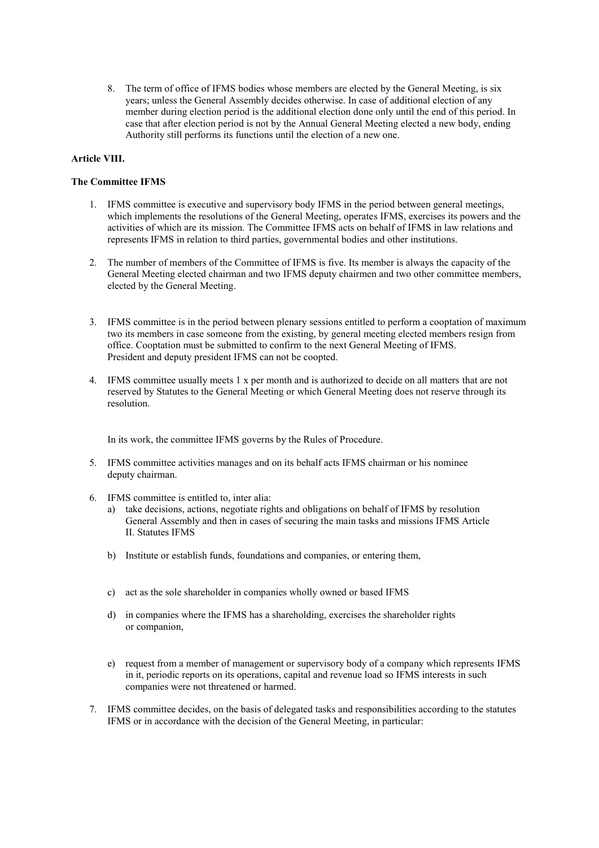8. The term of office of IFMS bodies whose members are elected by the General Meeting, is six years; unless the General Assembly decides otherwise. In case of additional election of any member during election period is the additional election done only until the end of this period. In case that after election period is not by the Annual General Meeting elected a new body, ending Authority still performs its functions until the election of a new one.

## **Article VIII.**

## **The Committee IFMS**

- 1. IFMS committee is executive and supervisory body IFMS in the period between general meetings, which implements the resolutions of the General Meeting, operates IFMS, exercises its powers and the activities of which are its mission. The Committee IFMS acts on behalf of IFMS in law relations and represents IFMS in relation to third parties, governmental bodies and other institutions.
- 2. The number of members of the Committee of IFMS is five. Its member is always the capacity of the General Meeting elected chairman and two IFMS deputy chairmen and two other committee members, elected by the General Meeting.
- 3. IFMS committee is in the period between plenary sessions entitled to perform a cooptation of maximum two its members in case someone from the existing, by general meeting elected members resign from office. Cooptation must be submitted to confirm to the next General Meeting of IFMS. President and deputy president IFMS can not be coopted.
- 4. IFMS committee usually meets 1 x per month and is authorized to decide on all matters that are not reserved by Statutes to the General Meeting or which General Meeting does not reserve through its resolution.

In its work, the committee IFMS governs by the Rules of Procedure.

- 5. IFMS committee activities manages and on its behalf acts IFMS chairman or his nominee deputy chairman.
- 6. IFMS committee is entitled to, inter alia:
	- a) take decisions, actions, negotiate rights and obligations on behalf of IFMS by resolution General Assembly and then in cases of securing the main tasks and missions IFMS Article II. Statutes IFMS
	- b) Institute or establish funds, foundations and companies, or entering them,
	- c) act as the sole shareholder in companies wholly owned or based IFMS
	- d) in companies where the IFMS has a shareholding, exercises the shareholder rights or companion,
	- e) request from a member of management or supervisory body of a company which represents IFMS in it, periodic reports on its operations, capital and revenue load so IFMS interests in such companies were not threatened or harmed.
- 7. IFMS committee decides, on the basis of delegated tasks and responsibilities according to the statutes IFMS or in accordance with the decision of the General Meeting, in particular: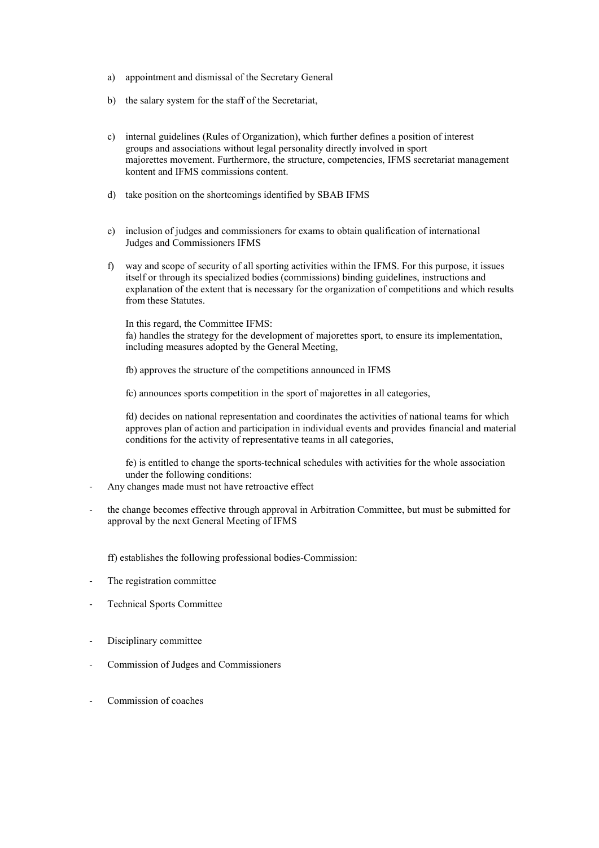- a) appointment and dismissal of the Secretary General
- b) the salary system for the staff of the Secretariat,
- c) internal guidelines (Rules of Organization), which further defines a position of interest groups and associations without legal personality directly involved in sport majorettes movement. Furthermore, the structure, competencies, IFMS secretariat management kontent and IFMS commissions content.
- d) take position on the shortcomings identified by SBAB IFMS
- e) inclusion of judges and commissioners for exams to obtain qualification of international Judges and Commissioners IFMS
- f) way and scope of security of all sporting activities within the IFMS. For this purpose, it issues itself or through its specialized bodies (commissions) binding guidelines, instructions and explanation of the extent that is necessary for the organization of competitions and which results from these Statutes.

In this regard, the Committee IFMS:

fa) handles the strategy for the development of majorettes sport, to ensure its implementation, including measures adopted by the General Meeting,

fb) approves the structure of the competitions announced in IFMS

fc) announces sports competition in the sport of majorettes in all categories,

fd) decides on national representation and coordinates the activities of national teams for which approves plan of action and participation in individual events and provides financial and material conditions for the activity of representative teams in all categories,

fe) is entitled to change the sports-technical schedules with activities for the whole association under the following conditions:

- Any changes made must not have retroactive effect
- the change becomes effective through approval in Arbitration Committee, but must be submitted for approval by the next General Meeting of IFMS

ff) establishes the following professional bodies-Commission:

- The registration committee
- Technical Sports Committee
- Disciplinary committee
- Commission of Judges and Commissioners
- Commission of coaches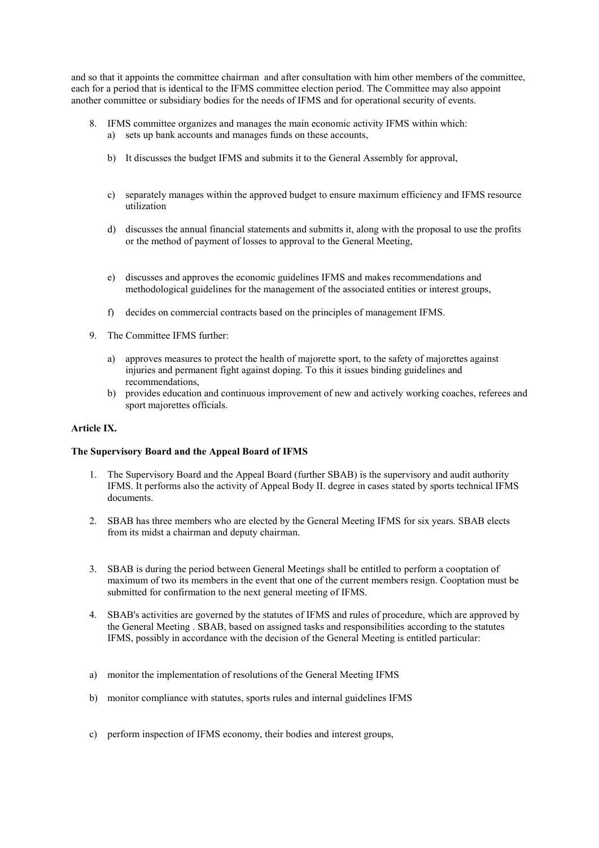and so that it appoints the committee chairman and after consultation with him other members of the committee, each for a period that is identical to the IFMS committee election period. The Committee may also appoint another committee or subsidiary bodies for the needs of IFMS and for operational security of events.

- 8. IFMS committee organizes and manages the main economic activity IFMS within which: a) sets up bank accounts and manages funds on these accounts,
	- b) It discusses the budget IFMS and submits it to the General Assembly for approval,
	- c) separately manages within the approved budget to ensure maximum efficiency and IFMS resource utilization
	- d) discusses the annual financial statements and submitts it, along with the proposal to use the profits or the method of payment of losses to approval to the General Meeting,
	- e) discusses and approves the economic guidelines IFMS and makes recommendations and methodological guidelines for the management of the associated entities or interest groups,
	- f) decides on commercial contracts based on the principles of management IFMS.
- 9. The Committee IFMS further:
	- a) approves measures to protect the health of majorette sport, to the safety of majorettes against injuries and permanent fight against doping. To this it issues binding guidelines and recommendations,
	- b) provides education and continuous improvement of new and actively working coaches, referees and sport majorettes officials.

#### **Article IX.**

#### **The Supervisory Board and the Appeal Board of IFMS**

- 1. The Supervisory Board and the Appeal Board (further SBAB) is the supervisory and audit authority IFMS. It performs also the activity of Appeal Body II. degree in cases stated by sports technical IFMS documents.
- 2. SBAB has three members who are elected by the General Meeting IFMS for six years. SBAB elects from its midst a chairman and deputy chairman.
- 3. SBAB is during the period between General Meetings shall be entitled to perform a cooptation of maximum of two its members in the event that one of the current members resign. Cooptation must be submitted for confirmation to the next general meeting of IFMS.
- 4. SBAB's activities are governed by the statutes of IFMS and rules of procedure, which are approved by the General Meeting . SBAB, based on assigned tasks and responsibilities according to the statutes IFMS, possibly in accordance with the decision of the General Meeting is entitled particular:
- a) monitor the implementation of resolutions of the General Meeting IFMS
- b) monitor compliance with statutes, sports rules and internal guidelines IFMS
- c) perform inspection of IFMS economy, their bodies and interest groups,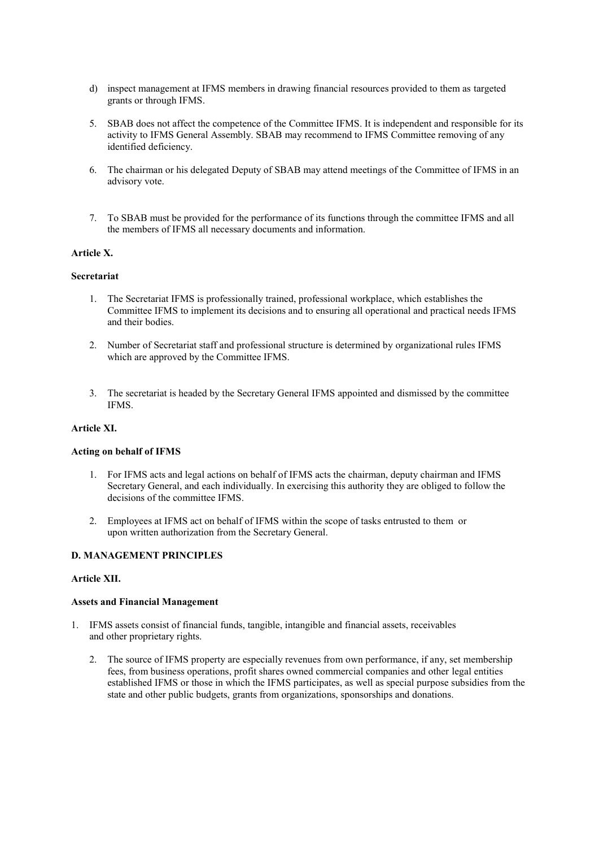- d) inspect management at IFMS members in drawing financial resources provided to them as targeted grants or through IFMS.
- 5. SBAB does not affect the competence of the Committee IFMS. It is independent and responsible for its activity to IFMS General Assembly. SBAB may recommend to IFMS Committee removing of any identified deficiency.
- 6. The chairman or his delegated Deputy of SBAB may attend meetings of the Committee of IFMS in an advisory vote.
- 7. To SBAB must be provided for the performance of its functions through the committee IFMS and all the members of IFMS all necessary documents and information.

### **Article X.**

### **Secretariat**

- 1. The Secretariat IFMS is professionally trained, professional workplace, which establishes the Committee IFMS to implement its decisions and to ensuring all operational and practical needs IFMS and their bodies.
- 2. Number of Secretariat staff and professional structure is determined by organizational rules IFMS which are approved by the Committee IFMS.
- 3. The secretariat is headed by the Secretary General IFMS appointed and dismissed by the committee IFMS.

### **Article XI.**

### **Acting on behalf of IFMS**

- 1. For IFMS acts and legal actions on behalf of IFMS acts the chairman, deputy chairman and IFMS Secretary General, and each individually. In exercising this authority they are obliged to follow the decisions of the committee IFMS.
- 2. Employees at IFMS act on behalf of IFMS within the scope of tasks entrusted to them or upon written authorization from the Secretary General.

### **D. MANAGEMENT PRINCIPLES**

### **Article XII.**

#### **Assets and Financial Management**

- 1. IFMS assets consist of financial funds, tangible, intangible and financial assets, receivables and other proprietary rights.
	- 2. The source of IFMS property are especially revenues from own performance, if any, set membership fees, from business operations, profit shares owned commercial companies and other legal entities established IFMS or those in which the IFMS participates, as well as special purpose subsidies from the state and other public budgets, grants from organizations, sponsorships and donations.